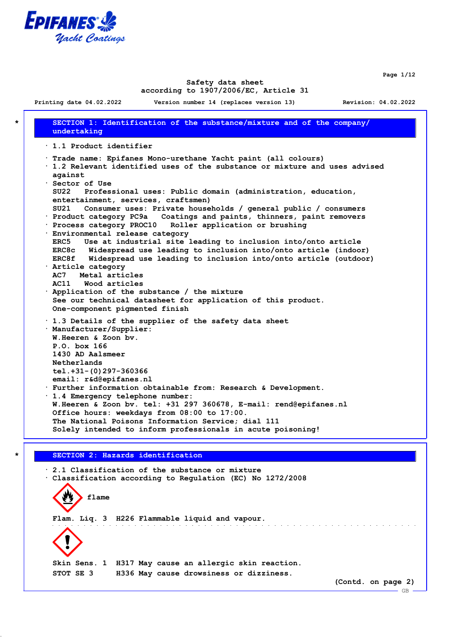

**Page 1/12**

 $-$  GB.

#### **Safety data sheet according to 1907/2006/EC, Article 31**

**Printing date 04.02.2022 Version number 14 (replaces version 13) Revision: 04.02.2022**

**\* SECTION 1: Identification of the substance/mixture and of the company/ undertaking · 1.1 Product identifier · Trade name: Epifanes Mono-urethane Yacht paint (all colours) · 1.2 Relevant identified uses of the substance or mixture and uses advised against · Sector of Use SU22 Professional uses: Public domain (administration, education, entertainment, services, craftsmen) SU21 Consumer uses: Private households / general public / consumers · Product category PC9a Coatings and paints, thinners, paint removers · Process category PROC10 Roller application or brushing · Environmental release category ERC5 Use at industrial site leading to inclusion into/onto article ERC8c Widespread use leading to inclusion into/onto article (indoor) ERC8f Widespread use leading to inclusion into/onto article (outdoor) · Article category AC7 Metal articles AC11 Wood articles · Application of the substance / the mixture See our technical datasheet for application of this product. One-component pigmented finish · 1.3 Details of the supplier of the safety data sheet · Manufacturer/Supplier: W.Heeren & Zoon bv. P.O. box 166 1430 AD Aalsmeer Netherlands tel.+31-(0)297-360366 email: r&d@epifanes.nl · Further information obtainable from: Research & Development. · 1.4 Emergency telephone number: W.Heeren & Zoon bv. tel: +31 297 360678, E-mail: rend@epifanes.nl Office hours: weekdays from 08:00 to 17:00. The National Poisons Information Service; dial 111 Solely intended to inform professionals in acute poisoning!**

## **\* SECTION 2: Hazards identification**

**· 2.1 Classification of the substance or mixture · Classification according to Regulation (EC) No 1272/2008 flame Flam. Liq. 3 H226 Flammable liquid and vapour. Skin Sens. 1 H317 May cause an allergic skin reaction. STOT SE 3 H336 May cause drowsiness or dizziness. (Contd. on page 2)**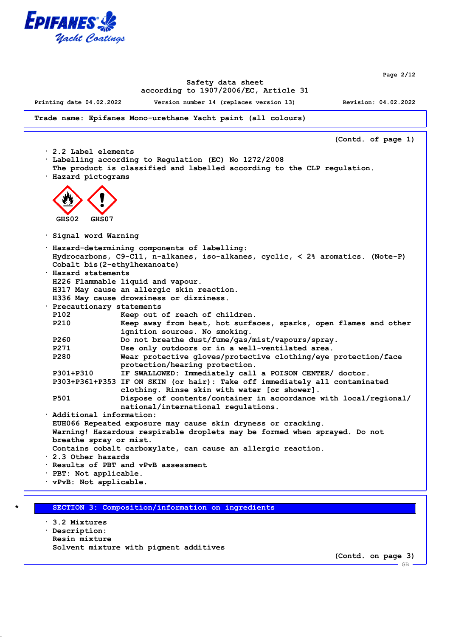

**Page 2/12**

#### **Safety data sheet according to 1907/2006/EC, Article 31**

**Printing date 04.02.2022 Version number 14 (replaces version 13) Revision: 04.02.2022**

**Trade name: Epifanes Mono-urethane Yacht paint (all colours)**

**(Contd. of page 1) · 2.2 Label elements · Labelling according to Regulation (EC) No 1272/2008 The product is classified and labelled according to the CLP regulation. · Hazard pictograms GHS02 GHS07 · Signal word Warning · Hazard-determining components of labelling: Hydrocarbons, C9-C11, n-alkanes, iso-alkanes, cyclic, < 2% aromatics. (Note-P) Cobalt bis(2-ethylhexanoate) · Hazard statements H226 Flammable liquid and vapour. H317 May cause an allergic skin reaction. H336 May cause drowsiness or dizziness. · Precautionary statements P102 Keep out of reach of children. P210 Keep away from heat, hot surfaces, sparks, open flames and other ignition sources. No smoking. P260 Do not breathe dust/fume/gas/mist/vapours/spray. P271 Use only outdoors or in a well-ventilated area. P280 Wear protective gloves/protective clothing/eye protection/face protection/hearing protection. P301+P310 IF SWALLOWED: Immediately call a POISON CENTER/ doctor. P303+P361+P353 IF ON SKIN (or hair): Take off immediately all contaminated clothing. Rinse skin with water [or shower]. P501 Dispose of contents/container in accordance with local/regional/ national/international regulations. · Additional information: EUH066 Repeated exposure may cause skin dryness or cracking. Warning! Hazardous respirable droplets may be formed when sprayed. Do not breathe spray or mist. Contains cobalt carboxylate, can cause an allergic reaction. · 2.3 Other hazards · Results of PBT and vPvB assessment · PBT: Not applicable. · vPvB: Not applicable.**

**\* SECTION 3: Composition/information on ingredients**

**· 3.2 Mixtures · Description: Resin mixture Solvent mixture with pigment additives**

**(Contd. on page 3)**

GB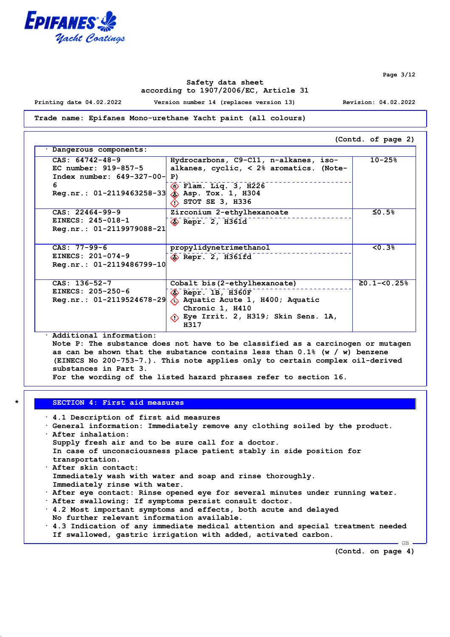

**Page 3/12**

## **Safety data sheet according to 1907/2006/EC, Article 31**

**Printing date 04.02.2022 Version number 14 (replaces version 13) Revision: 04.02.2022**

#### **Trade name: Epifanes Mono-urethane Yacht paint (all colours)**

**(Contd. of page 2) · Dangerous components: CAS: 64742-48-9 EC number: 919-857-5 Index number: 649-327-00- 6 Reg.nr.: 01-2119463258-33 Hydrocarbons, C9-C11, n-alkanes, isoalkanes, cyclic, < 2% aromatics. (Note-P) Flam. Liq. 3, H226 Asp. Tox. 1, H304 STOT SE 3, H336 10-25% CAS: 22464-99-9 EINECS: 245-018-1 Reg.nr.: 01-2119979088-21 Zirconium 2-ethylhexanoate Repr. 2, H361d ≤0.5% CAS: 77-99-6 EINECS: 201-074-9 Reg.nr.: 01-2119486799-10 propylidynetrimethanol Repr. 2, H361fd <0.3% CAS: 136-52-7 EINECS: 205-250-6 Reg.nr.: 01-2119524678-29 Cobalt bis(2-ethylhexanoate) Repr. 1B, H360F Aquatic Acute 1, H400; Aquatic Chronic 1, H410 Eye Irrit. 2, H319; Skin Sens. 1A, H317 ≥0.1-<0.25%**

**· Additional information:**

**Note P: The substance does not have to be classified as a carcinogen or mutagen as can be shown that the substance contains less than 0.1% (w / w) benzene (EINECS No 200-753-7.). This note applies only to certain complex oil-derived substances in Part 3.**

**For the wording of the listed hazard phrases refer to section 16.**

#### **\* SECTION 4: First aid measures**

| $\cdot$ 4.1 Description of first aid measures                                          |
|----------------------------------------------------------------------------------------|
| · General information: Immediately remove any clothing soiled by the product.          |
| $\cdot$ After inhalation:                                                              |
| Supply fresh air and to be sure call for a doctor.                                     |
| In case of unconsciousness place patient stably in side position for                   |
| transportation.                                                                        |
| . After skin contact:                                                                  |
| Immediately wash with water and soap and rinse thoroughly.                             |
| Immediately rinse with water.                                                          |
| . After eye contact: Rinse opened eye for several minutes under running water.         |
| . After swallowing: If symptoms persist consult doctor.                                |
| 4.2 Most important symptoms and effects, both acute and delayed                        |
| No further relevant information available.                                             |
| $\cdot$ 4.3 Indication of any immediate medical attention and special treatment needed |
| If swallowed, gastric irrigation with added, activated carbon.                         |

**(Contd. on page 4)**

GB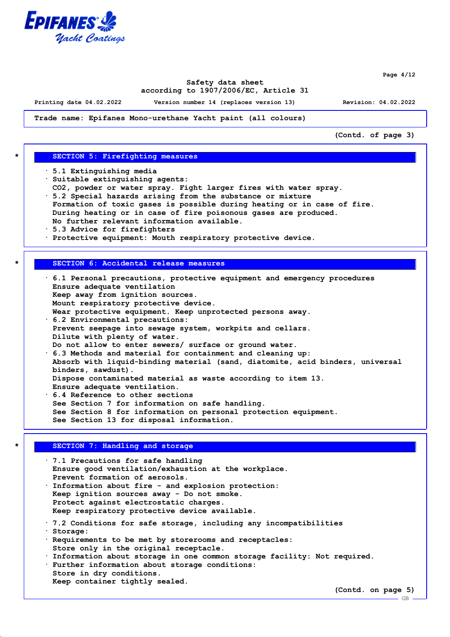

**Page 4/12**

## **Safety data sheet according to 1907/2006/EC, Article 31**

**Printing date 04.02.2022 Version number 14 (replaces version 13) Revision: 04.02.2022**

**Trade name: Epifanes Mono-urethane Yacht paint (all colours)**

**(Contd. of page 3)**

## **\* SECTION 5: Firefighting measures**

- **· 5.1 Extinguishing media**
- **· Suitable extinguishing agents:**
- **CO2, powder or water spray. Fight larger fires with water spray.**
- **· 5.2 Special hazards arising from the substance or mixture Formation of toxic gases is possible during heating or in case of fire. During heating or in case of fire poisonous gases are produced.**
- **No further relevant information available.**
- **· 5.3 Advice for firefighters**
- **· Protective equipment: Mouth respiratory protective device.**

#### **\* SECTION 6: Accidental release measures**

**· 6.1 Personal precautions, protective equipment and emergency procedures Ensure adequate ventilation Keep away from ignition sources. Mount respiratory protective device. Wear protective equipment. Keep unprotected persons away. · 6.2 Environmental precautions: Prevent seepage into sewage system, workpits and cellars. Dilute with plenty of water. Do not allow to enter sewers/ surface or ground water. · 6.3 Methods and material for containment and cleaning up: Absorb with liquid-binding material (sand, diatomite, acid binders, universal binders, sawdust). Dispose contaminated material as waste according to item 13. Ensure adequate ventilation. · 6.4 Reference to other sections See Section 7 for information on safe handling. See Section 8 for information on personal protection equipment.**

**See Section 13 for disposal information.**

## **\* SECTION 7: Handling and storage**

**· 7.1 Precautions for safe handling Ensure good ventilation/exhaustion at the workplace. Prevent formation of aerosols. · Information about fire - and explosion protection: Keep ignition sources away - Do not smoke. Protect against electrostatic charges. Keep respiratory protective device available. · 7.2 Conditions for safe storage, including any incompatibilities · Storage: · Requirements to be met by storerooms and receptacles: Store only in the original receptacle. · Information about storage in one common storage facility: Not required. · Further information about storage conditions: Store in dry conditions. Keep container tightly sealed.**

**(Contd. on page 5)**

GB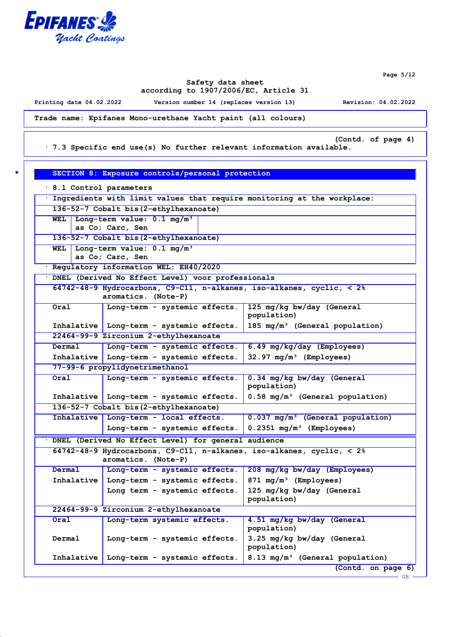

**Page 5/12**

## **Safety data sheet according to 1907/2006/EC, Article 31**

**Printing date 04.02.2022 Version number 14 (replaces version 13) Revision: 04.02.2022**

**Trade name: Epifanes Mono-urethane Yacht paint (all colours)**

**(Contd. of page 4)**

**· 7.3 Specific end use(s) No further relevant information available.**

**\* SECTION 8: Exposure controls/personal protection**

| 8.1 Control parameters                 |                                                                                                             |                                              |  |  |
|----------------------------------------|-------------------------------------------------------------------------------------------------------------|----------------------------------------------|--|--|
|                                        | Ingredients with limit values that require monitoring at the workplace:                                     |                                              |  |  |
| 136-52-7 Cobalt bis (2-ethylhexanoate) |                                                                                                             |                                              |  |  |
| WEL                                    | Long-term value: 0.1 mg/m <sup>3</sup><br>as Co; Carc, Sen                                                  |                                              |  |  |
| 136-52-7 Cobalt bis (2-ethylhexanoate) |                                                                                                             |                                              |  |  |
| WEL                                    | Long-term value: 0.1 mg/m <sup>3</sup>                                                                      |                                              |  |  |
|                                        | as Co; Carc, Sen<br>Regulatory information WEL: EH40/2020                                                   |                                              |  |  |
|                                        | DNEL (Derived No Effect Level) voor professionals                                                           |                                              |  |  |
|                                        | 64742-48-9 Hydrocarbons, C9-C11, n-alkanes, iso-alkanes, cyclic, < 2%                                       |                                              |  |  |
|                                        | aromatics. (Note-P)                                                                                         |                                              |  |  |
| Oral                                   | Long-term - systemic effects.                                                                               | 125 mg/kg bw/day (General                    |  |  |
|                                        |                                                                                                             | population)                                  |  |  |
|                                        | Inhalative   Long-term - systemic effects.                                                                  | 185 mg/m <sup>3</sup> (General population)   |  |  |
|                                        | 22464-99-9 Zirconium 2-ethylhexanoate                                                                       |                                              |  |  |
| Dermal                                 | Long-term - systemic effects.                                                                               | 6.49 mg/kg/day (Employees)                   |  |  |
|                                        | Inhalative   Long-term - systemic effects.                                                                  | $32.97 \text{ mg/m}^3$ (Employees)           |  |  |
|                                        | 77-99-6 propylidynetrimethanol                                                                              |                                              |  |  |
| Oral                                   | Long-term - systemic effects.                                                                               | 0.34 mg/kg bw/day (General<br>population)    |  |  |
|                                        | Inhalative   Long-term - systemic effects.                                                                  | 0.58 mg/m <sup>3</sup> (General population)  |  |  |
|                                        | 136-52-7 Cobalt bis (2-ethylhexanoate)                                                                      |                                              |  |  |
|                                        | Inhalative   Long-term - local effects.                                                                     | 0.037 mg/m <sup>3</sup> (General population) |  |  |
|                                        | Long-term - systemic effects.                                                                               | $0.2351$ mg/m <sup>3</sup> (Employees)       |  |  |
|                                        | DNEL (Derived No Effect Level) for general audience                                                         |                                              |  |  |
|                                        | 64742-48-9 Hydrocarbons, C9-C11, n-alkanes, iso-alkanes, cyclic, $\langle 2 \rangle$<br>aromatics. (Note-P) |                                              |  |  |
| Dermal                                 | Long-term - systemic effects.                                                                               | 208 mg/kg bw/day (Employees)                 |  |  |
|                                        | Inhalative   Long-term - systemic effects.                                                                  | 871 $mg/m^3$ (Employees)                     |  |  |
|                                        | Long term - systemic effects.                                                                               | 125 mg/kg bw/day (General<br>population)     |  |  |
|                                        | 22464-99-9 Zirconium 2-ethylhexanoate                                                                       |                                              |  |  |
| Oral                                   | Long-term systemic effects.                                                                                 | 4.51 mg/kg bw/day (General<br>population)    |  |  |
| Dermal                                 | Long-term - systemic effects.                                                                               | 3.25 mg/kg bw/day (General<br>population)    |  |  |
| Inhalative                             | Long-term - systemic effects.                                                                               | 8.13 mg/m <sup>3</sup> (General population)  |  |  |
|                                        |                                                                                                             | (Contd. on page 6)                           |  |  |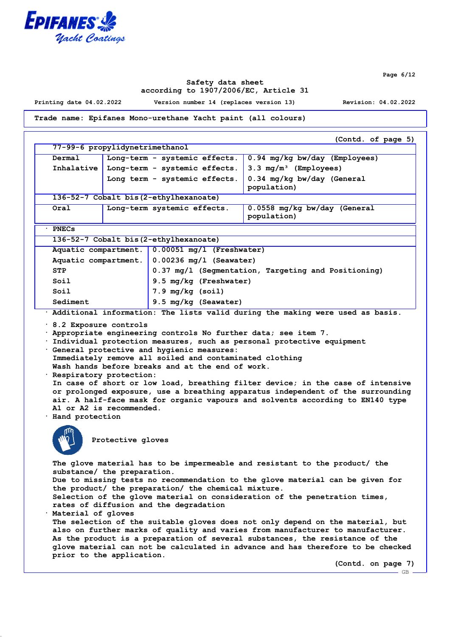

**Page 6/12**

GB

## **Safety data sheet according to 1907/2006/EC, Article 31**

**Printing date 04.02.2022 Version number 14 (replaces version 13) Revision: 04.02.2022**

**Trade name: Epifanes Mono-urethane Yacht paint (all colours)**

**(Contd. of page 5) 77-99-6 propylidynetrimethanol Dermal Long-term - systemic effects. 0.94 mg/kg bw/day (Employees) Inhalative Long-term - systemic effects. 3.3 mg/m³ (Employees) Long term - systemic effects. 0.34 mg/kg bw/day (General population) 136-52-7 Cobalt bis(2-ethylhexanoate) Oral Long-term systemic effects. 0.0558 mg/kg bw/day (General population) · PNECs 136-52-7 Cobalt bis(2-ethylhexanoate) Aquatic compartment. 0.00051 mg/l (Freshwater) Aquatic compartment. 0.00236 mg/l (Seawater) STP 0.37 mg/l (Segmentation, Targeting and Positioning) Soil 9.5 mg/kg (Freshwater) Soil 7.9 mg/kg (soil)** Sediment 9.5 mg/kg (Seawater) **· Additional information: The lists valid during the making were used as basis. · 8.2 Exposure controls · Appropriate engineering controls No further data; see item 7. · Individual protection measures, such as personal protective equipment · General protective and hygienic measures: Immediately remove all soiled and contaminated clothing Wash hands before breaks and at the end of work. · Respiratory protection: In case of short or low load, breathing filter device; in the case of intensive or prolonged exposure, use a breathing apparatus independent of the surrounding air. A half-face mask for organic vapours and solvents according to EN140 type A1 or A2 is recommended. · Hand protection Protective gloves The glove material has to be impermeable and resistant to the product/ the substance/ the preparation. Due to missing tests no recommendation to the glove material can be given for the product/ the preparation/ the chemical mixture. Selection of the glove material on consideration of the penetration times, rates of diffusion and the degradation · Material of gloves The selection of the suitable gloves does not only depend on the material, but also on further marks of quality and varies from manufacturer to manufacturer. As the product is a preparation of several substances, the resistance of the glove material can not be calculated in advance and has therefore to be checked prior to the application. (Contd. on page 7)**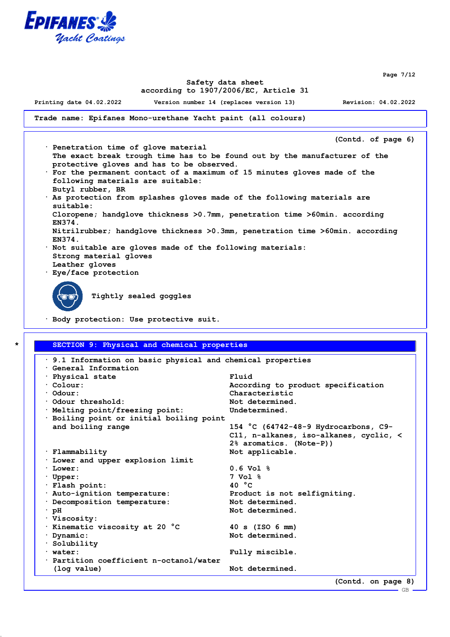

**Page 7/12**

## **Safety data sheet according to 1907/2006/EC, Article 31**

**Printing date 04.02.2022 Version number 14 (replaces version 13) Revision: 04.02.2022**

**Trade name: Epifanes Mono-urethane Yacht paint (all colours)**

**(Contd. of page 6)**

- **· Penetration time of glove material The exact break trough time has to be found out by the manufacturer of the protective gloves and has to be observed. · For the permanent contact of a maximum of 15 minutes gloves made of the following materials are suitable:**
- **Butyl rubber, BR · As protection from splashes gloves made of the following materials are suitable: Cloropene; handglove thickness >0.7mm, penetration time >60min. according EN374. Nitrilrubber; handglove thickness >0.3mm, penetration time >60min. according EN374.**
- **· Not suitable are gloves made of the following materials: Strong material gloves Leather gloves**
- **· Eye/face protection**

**Tightly sealed goggles**

**· Body protection: Use protective suit.**

## **\* SECTION 9: Physical and chemical properties**

| $\cdot$ 9.1 Information on basic physical and chemical properties |                                               |
|-------------------------------------------------------------------|-----------------------------------------------|
| Ceneral Information                                               |                                               |
| · Physical state                                                  | Fluid                                         |
| $\cdot$ Colour:                                                   | According to product specification            |
| $\cdot$ Odour:                                                    | Characteristic                                |
| Odour threshold:                                                  | Not determined.                               |
| · Melting point/freezing point:                                   | Undetermined.                                 |
| · Boiling point or initial boiling point                          |                                               |
| and boiling range                                                 | 154 °C (64742-48-9 Hydrocarbons, C9-          |
|                                                                   | $C11$ , n-alkanes, iso-alkanes, cyclic, $\lt$ |
|                                                                   | 2% aromatics. (Note-P))                       |
| · Flammability                                                    | Not applicable.                               |
| . Lower and upper explosion limit                                 |                                               |
| $\cdot$ Lower:                                                    | $0.6 \text{ Vol }$ %                          |
| $\cdot$ Upper:                                                    | 7 Vol %                                       |
| · Flash point:                                                    | 40 $^{\circ}$ C                               |
| · Auto-ignition temperature:                                      | Product is not selfigniting.                  |
| · Decomposition temperature:                                      | Not determined.                               |
| $\cdot$ pH                                                        | Not determined.                               |
| · Viscosity:                                                      |                                               |
| · Kinematic viscosity at 20 °C                                    | $40 \text{ s}$ (ISO 6 mm)                     |
| Dynamic:                                                          | Not determined.                               |
| $\cdot$ Solubility                                                |                                               |
| $·$ water:                                                        | Fully miscible.                               |
| Partition coefficient n-octanol/water                             |                                               |
| (log value)                                                       | Not determined.                               |
|                                                                   | (Contd. on page 8)                            |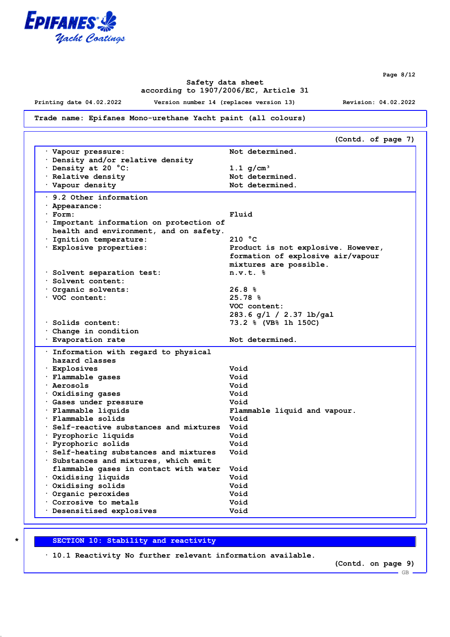

**Page 8/12**

## **Safety data sheet according to 1907/2006/EC, Article 31**

**Printing date 04.02.2022 Version number 14 (replaces version 13) Revision: 04.02.2022**

## **Trade name: Epifanes Mono-urethane Yacht paint (all colours)**

|                                         | (Contd. of page 7)                 |
|-----------------------------------------|------------------------------------|
| Vapour pressure:                        | Not determined.                    |
| Density and/or relative density         |                                    |
| Density at 20 °C:                       | 1.1 $q/cm^{3}$                     |
| · Relative density                      | Not determined.                    |
| Vapour density                          | Not determined.                    |
| $\cdot$ 9.2 Other information           |                                    |
|                                         |                                    |
| · Appearance:                           |                                    |
| · Form:                                 | Fluid                              |
| Important information on protection of  |                                    |
| health and environment, and on safety.  |                                    |
| · Ignition temperature:                 | 210 °C                             |
| Explosive properties:                   | Product is not explosive. However, |
|                                         | formation of explosive air/vapour  |
|                                         | mixtures are possible.             |
| Solvent separation test:                | $n.v.t.$ $8$                       |
| Solvent content:                        |                                    |
| Organic solvents:                       | 26.8%                              |
| VOC content:                            | 25.78%                             |
|                                         | VOC content:                       |
|                                         | 283.6 g/1 / 2.37 lb/gal            |
| · Solids content:                       | 73.2 % (VB% 1h 150C)               |
| Change in condition                     |                                    |
| <sup>.</sup> Evaporation rate           | Not determined.                    |
| Information with regard to physical     |                                    |
| hazard classes                          |                                    |
| · Explosives                            | Void                               |
| · Flammable gases                       | Void                               |
| · Aerosols                              | Void                               |
| Oxidising gases                         | Void                               |
| Gases under pressure                    | Void                               |
| · Flammable liquids                     | Flammable liquid and vapour.       |
|                                         |                                    |
|                                         |                                    |
| · Flammable solids                      | Void                               |
| Self-reactive substances and mixtures . | Void                               |
| · Pyrophoric liquids                    | Void                               |
| · Pyrophoric solids                     | Void                               |
| Self-heating substances and mixtures    | Void                               |
| Substances and mixtures, which emit     |                                    |
| flammable gases in contact with water   | Void                               |
| $\cdot$ Oxidising liquids               | Void                               |
| $\cdot$ Oxidising solids                | Void                               |
| Organic peroxides                       | Void                               |
| Corrosive to metals                     | Void                               |

## **\* SECTION 10: Stability and reactivity**

**· 10.1 Reactivity No further relevant information available.**

**(Contd. on page 9)**

 $-$  GB.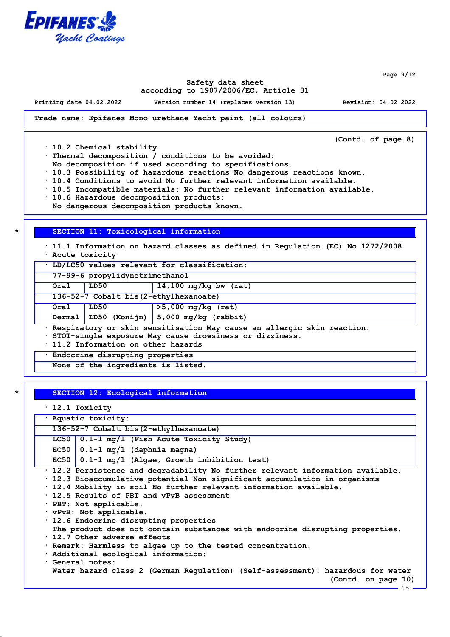

**Page 9/12**

#### **Safety data sheet according to 1907/2006/EC, Article 31**

**Printing date 04.02.2022 Version number 14 (replaces version 13) Revision: 04.02.2022**

**Trade name: Epifanes Mono-urethane Yacht paint (all colours)**

**(Contd. of page 8)**

**· 10.2 Chemical stability**

**· Thermal decomposition / conditions to be avoided:**

**No decomposition if used according to specifications.**

**· 10.3 Possibility of hazardous reactions No dangerous reactions known.**

**· 10.4 Conditions to avoid No further relevant information available.**

**· 10.5 Incompatible materials: No further relevant information available.**

**· 10.6 Hazardous decomposition products:**

**No dangerous decomposition products known.**

#### **\* SECTION 11: Toxicological information**

**· 11.1 Information on hazard classes as defined in Regulation (EC) No 1272/2008**

**· Acute toxicity**

**· LD/LC50 values relevant for classification:**

**77-99-6 propylidynetrimethanol**

**Oral LD50 14,100 mg/kg bw (rat)**

**136-52-7 Cobalt bis(2-ethylhexanoate)**

**Oral LD50 >5,000 mg/kg (rat)**

**Dermal LD50 (Konijn) 5,000 mg/kg (rabbit)**

**· Respiratory or skin sensitisation May cause an allergic skin reaction.**

**· STOT-single exposure May cause drowsiness or dizziness.**

**· 11.2 Information on other hazards**

**· Endocrine disrupting properties**

**None of the ingredients is listed.**

## **\* SECTION 12: Ecological information**

**· 12.1 Toxicity**

**· Aquatic toxicity: 136-52-7 Cobalt bis(2-ethylhexanoate) LC50 0.1-1 mg/l (Fish Acute Toxicity Study) EC50 0.1-1 mg/l (daphnia magna) EC50 0.1-1 mg/l (Algae, Growth inhibition test) · 12.2 Persistence and degradability No further relevant information available. · 12.3 Bioaccumulative potential Non significant accumulation in organisms · 12.4 Mobility in soil No further relevant information available. · 12.5 Results of PBT and vPvB assessment · PBT: Not applicable. · vPvB: Not applicable. · 12.6 Endocrine disrupting properties The product does not contain substances with endocrine disrupting properties. · 12.7 Other adverse effects · Remark: Harmless to algae up to the tested concentration. · Additional ecological information: · General notes: Water hazard class 2 (German Regulation) (Self-assessment): hazardous for water (Contd. on page 10)** GB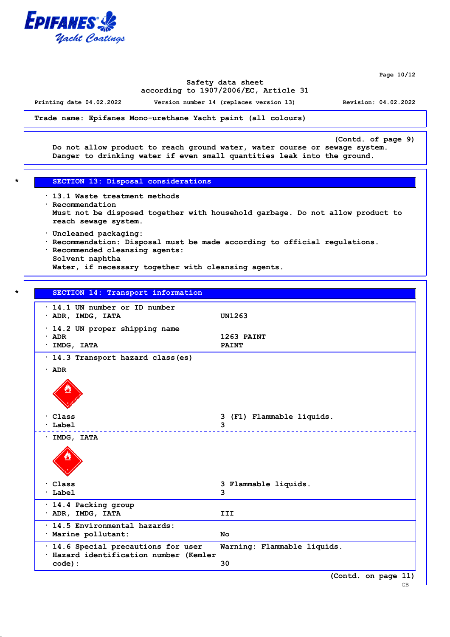

**Page 10/12**

## **Safety data sheet according to 1907/2006/EC, Article 31**

**Printing date 04.02.2022 Version number 14 (replaces version 13) Revision: 04.02.2022**

**Trade name: Epifanes Mono-urethane Yacht paint (all colours)**

**(Contd. of page 9) Do not allow product to reach ground water, water course or sewage system. Danger to drinking water if even small quantities leak into the ground.**

- **\* SECTION 13: Disposal considerations**
- **· 13.1 Waste treatment methods · Recommendation Must not be disposed together with household garbage. Do not allow product to reach sewage system.**
	- **· Uncleaned packaging:**
	- **· Recommendation: Disposal must be made according to official regulations.**
- **· Recommended cleansing agents:**

**Solvent naphtha Water, if necessary together with cleansing agents.**

#### **\* SECTION 14: Transport information**

| · 14.2 UN proper shipping name<br>1263 PAINT<br>$\cdot$ ADR<br>$·$ IMDG, IATA<br><b>PAINT</b><br>· 14.3 Transport hazard class (es)<br>$\cdot$ ADR<br>Class<br>3 (F1) Flammable liquids.<br>Label<br>3<br>· IMDG, IATA<br>$\cdot$ Class<br>3 Flammable liquids.<br>$\cdot$ Label<br>3<br>$\cdot$ 14.4 Packing group<br>· ADR, IMDG, IATA<br>III<br>$\cdot$ 14.5 Environmental hazards:<br>· Marine pollutant:<br>No<br>· 14.6 Special precautions for user<br>Warning: Flammable liquids.<br>· Hazard identification number (Kemler<br>30<br>code): | $\cdot$ 14.1 UN number or ID number<br>$\cdot$ ADR, IMDG, IATA | <b>UN1263</b>       |
|-----------------------------------------------------------------------------------------------------------------------------------------------------------------------------------------------------------------------------------------------------------------------------------------------------------------------------------------------------------------------------------------------------------------------------------------------------------------------------------------------------------------------------------------------------|----------------------------------------------------------------|---------------------|
|                                                                                                                                                                                                                                                                                                                                                                                                                                                                                                                                                     |                                                                |                     |
|                                                                                                                                                                                                                                                                                                                                                                                                                                                                                                                                                     |                                                                |                     |
|                                                                                                                                                                                                                                                                                                                                                                                                                                                                                                                                                     |                                                                |                     |
|                                                                                                                                                                                                                                                                                                                                                                                                                                                                                                                                                     |                                                                |                     |
|                                                                                                                                                                                                                                                                                                                                                                                                                                                                                                                                                     |                                                                |                     |
|                                                                                                                                                                                                                                                                                                                                                                                                                                                                                                                                                     |                                                                |                     |
|                                                                                                                                                                                                                                                                                                                                                                                                                                                                                                                                                     |                                                                |                     |
|                                                                                                                                                                                                                                                                                                                                                                                                                                                                                                                                                     |                                                                |                     |
|                                                                                                                                                                                                                                                                                                                                                                                                                                                                                                                                                     |                                                                |                     |
|                                                                                                                                                                                                                                                                                                                                                                                                                                                                                                                                                     |                                                                |                     |
|                                                                                                                                                                                                                                                                                                                                                                                                                                                                                                                                                     |                                                                |                     |
| <b>GB</b>                                                                                                                                                                                                                                                                                                                                                                                                                                                                                                                                           |                                                                | (Contd. on page 11) |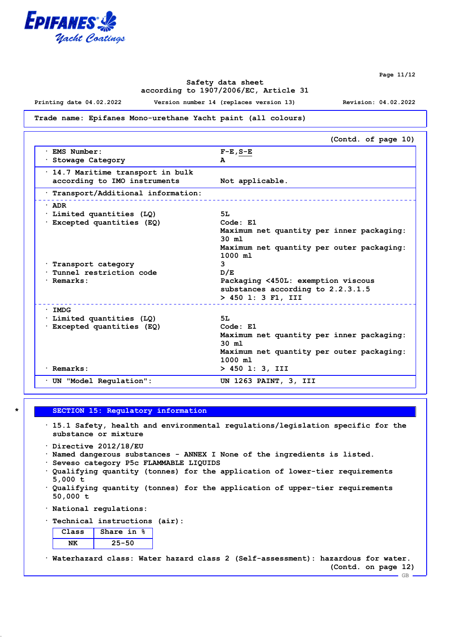

**Page 11/12**

## **Safety data sheet according to 1907/2006/EC, Article 31**

**Printing date 04.02.2022 Version number 14 (replaces version 13) Revision: 04.02.2022**

#### **Trade name: Epifanes Mono-urethane Yacht paint (all colours)**

|                                                                   | (Contd. of page 10)                                           |
|-------------------------------------------------------------------|---------------------------------------------------------------|
| · EMS Number:<br>· Stowage Category                               | $F-E$ , $S-E$<br>A                                            |
| · 14.7 Maritime transport in bulk<br>according to IMO instruments | Not applicable.                                               |
| Transport/Additional information:                                 |                                                               |
| $·$ ADR                                                           |                                                               |
| Limited quantities (LQ):                                          | 5L                                                            |
| · Excepted quantities (EQ)                                        | Code: E1                                                      |
|                                                                   | Maximum net quantity per inner packaging:<br>$30 \, \text{m}$ |
|                                                                   | Maximum net quantity per outer packaging:                     |
|                                                                   | $1000$ ml                                                     |
| Transport category                                                | 3                                                             |
| Tunnel restriction code                                           | D/E                                                           |
| · Remarks:                                                        | Packaging <450L: exemption viscous                            |
|                                                                   | substances according to 2.2.3.1.5                             |
|                                                                   | > 450 1: 3 F1, III                                            |
| $\cdot$ IMDG                                                      |                                                               |
| · Limited quantities (LQ)                                         | 5L                                                            |
| Excepted quantities (EQ)                                          | Code: E1                                                      |
|                                                                   | Maximum net quantity per inner packaging:                     |
|                                                                   | $30 \, \text{m}$                                              |
|                                                                   | Maximum net quantity per outer packaging:                     |
|                                                                   | $1000$ ml                                                     |
| · Remarks:                                                        | $> 450$ 1: 3, III                                             |
| UN "Model Regulation":                                            | UN 1263 PAINT, 3, III                                         |

# **\* SECTION 15: Regulatory information**

- **· 15.1 Safety, health and environmental regulations/legislation specific for the substance or mixture**
- **· Directive 2012/18/EU**
- **· Named dangerous substances ANNEX I None of the ingredients is listed.**
- **· Seveso category P5c FLAMMABLE LIQUIDS**
- **· Qualifying quantity (tonnes) for the application of lower-tier requirements 5,000 t**
- **· Qualifying quantity (tonnes) for the application of upper-tier requirements 50,000 t**
- **· National regulations:**
- **· Technical instructions (air):**

| Class | Share in<br>* |
|-------|---------------|
|       | $25 - 50$     |

**· Waterhazard class: Water hazard class 2 (Self-assessment): hazardous for water. (Contd. on page 12)**